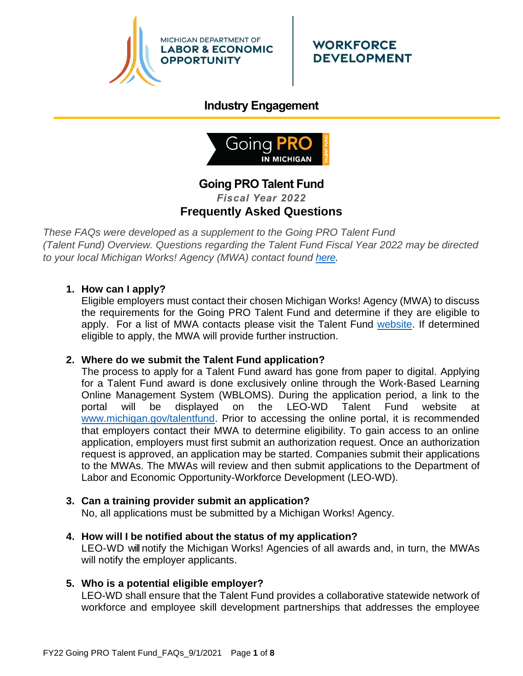

# **Industry Engagement**



# **Going PRO Talent Fund** *Fiscal Year 2022* **Frequently Asked Questions**

*These FAQs were developed as a supplement to the Going PRO Talent Fund (Talent Fund) Overview. Questions regarding the Talent Fund Fiscal Year 2022 may be directed to your local Michigan Works! Agency (MWA) contact found [here.](http://www.michigan.gov/documents/wda/Map_with_Key_Contacts_434690_7.pdf)*

## **1. How can I apply?**

Eligible employers must contact their chosen Michigan Works! Agency (MWA) to discuss the requirements for the Going PRO Talent Fund and determine if they are eligible to apply. For a list of MWA contacts please visit the Talent Fund [website.](http://www.michigan.gov/talentfund) If determined eligible to apply, the MWA will provide further instruction.

## **2. Where do we submit the Talent Fund application?**

The process to apply for a Talent Fund award has gone from paper to digital. Applying for a Talent Fund award is done exclusively online through the Work-Based Learning Online Management System (WBLOMS). During the application period, a link to the portal will be displayed on the LEO-WD Talent Fund website at [www.michigan.gov/talentfund.](http://www.michigan.gov/talentfund) Prior to accessing the online portal, it is recommended that employers contact their MWA to determine eligibility. To gain access to an online application, employers must first submit an authorization request. Once an authorization request is approved, an application may be started. Companies submit their applications to the MWAs. The MWAs will review and then submit applications to the Department of Labor and Economic Opportunity-Workforce Development (LEO-WD).

## **3. Can a training provider submit an application?**

No, all applications must be submitted by a Michigan Works! Agency.

**4. How will I be notified about the status of my application?** LEO-WD will notify the Michigan Works! Agencies of all awards and, in turn, the MWAs will notify the employer applicants.

## **5. Who is a potential eligible employer?**

LEO-WD shall ensure that the Talent Fund provides a collaborative statewide network of workforce and employee skill development partnerships that addresses the employee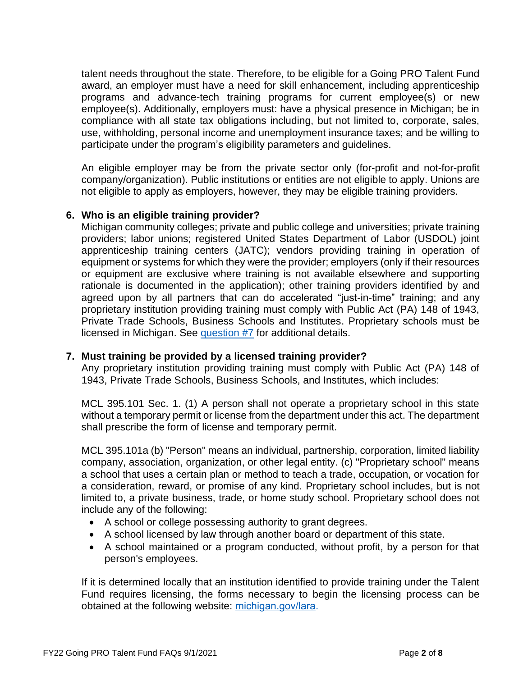talent needs throughout the state. Therefore, to be eligible for a Going PRO Talent Fund award, an employer must have a need for skill enhancement, including apprenticeship programs and advance-tech training programs for current employee(s) or new employee(s). Additionally, employers must: have a physical presence in Michigan; be in compliance with all state tax obligations including, but not limited to, corporate, sales, use, withholding, personal income and unemployment insurance taxes; and be willing to participate under the program's eligibility parameters and guidelines.

An eligible employer may be from the private sector only (for-profit and not-for-profit company/organization). Public institutions or entities are not eligible to apply. Unions are not eligible to apply as employers, however, they may be eligible training providers.

## **6. Who is an eligible training provider?**

Michigan community colleges; private and public college and universities; private training providers; labor unions; registered United States Department of Labor (USDOL) joint apprenticeship training centers (JATC); vendors providing training in operation of equipment or systems for which they were the provider; employers (only if their resources or equipment are exclusive where training is not available elsewhere and supporting rationale is documented in the application); other training providers identified by and agreed upon by all partners that can do accelerated "just-in-time" training; and any proprietary institution providing training must comply with Public Act (PA) 148 of 1943, Private Trade Schools, Business Schools and Institutes. Proprietary schools must be licensed in Michigan. See [question #7](#page-1-0) for additional details.

#### **7. Must training be provided by a licensed training provider?**

<span id="page-1-0"></span>Any proprietary institution providing training must comply with Public Act (PA) 148 of 1943, Private Trade Schools, Business Schools, and Institutes, which includes:

MCL 395.101 Sec. 1. (1) A person shall not operate a proprietary school in this state without a temporary permit or license from the department under this act. The department shall prescribe the form of license and temporary permit.

MCL 395.101a (b) "Person" means an individual, partnership, corporation, limited liability company, association, organization, or other legal entity. (c) "Proprietary school" means a school that uses a certain plan or method to teach a trade, occupation, or vocation for a consideration, reward, or promise of any kind. Proprietary school includes, but is not limited to, a private business, trade, or home study school. Proprietary school does not include any of the following:

- A school or college possessing authority to grant degrees.
- A school licensed by law through another board or department of this state.
- A school maintained or a program conducted, without profit, by a person for that person's employees.

If it is determined locally that an institution identified to provide training under the Talent Fund requires licensing, the forms necessary to begin the licensing process can be obtained at the following website: [michigan.gov/lara.](http://www.michigan.gov/lara/0,4601,7-154-35299_61343_35414_60647_2739---,00.html)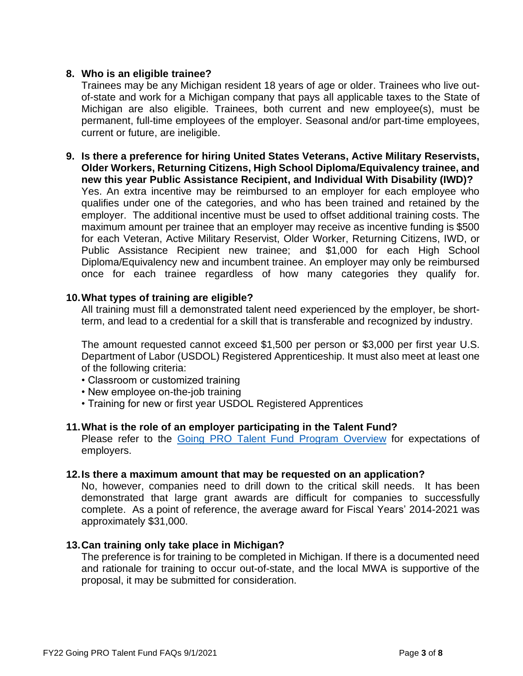## **8. Who is an eligible trainee?**

Trainees may be any Michigan resident 18 years of age or older. Trainees who live outof-state and work for a Michigan company that pays all applicable taxes to the State of Michigan are also eligible. Trainees, both current and new employee(s), must be permanent, full-time employees of the employer. Seasonal and/or part-time employees, current or future, are ineligible.

**9. Is there a preference for hiring United States Veterans, Active Military Reservists, Older Workers, Returning Citizens, High School Diploma/Equivalency trainee, and new this year Public Assistance Recipient, and Individual With Disability (IWD)?** Yes. An extra incentive may be reimbursed to an employer for each employee who qualifies under one of the categories, and who has been trained and retained by the employer. The additional incentive must be used to offset additional training costs. The maximum amount per trainee that an employer may receive as incentive funding is \$500 for each Veteran, Active Military Reservist, Older Worker, Returning Citizens, IWD, or Public Assistance Recipient new trainee; and \$1,000 for each High School Diploma/Equivalency new and incumbent trainee. An employer may only be reimbursed once for each trainee regardless of how many categories they qualify for.

## **10.What types of training are eligible?**

All training must fill a demonstrated talent need experienced by the employer, be shortterm, and lead to a credential for a skill that is transferable and recognized by industry.

The amount requested cannot exceed \$1,500 per person or \$3,000 per first year U.S. Department of Labor (USDOL) Registered Apprenticeship. It must also meet at least one of the following criteria:

- Classroom or customized training
- New employee on-the-job training
- Training for new or first year USDOL Registered Apprentices

## **11.What is the role of an employer participating in the Talent Fund?**

Please refer to the [Going PRO Talent Fund](https://www.michigan.gov/documents/leo/WD_Program_Overviews_2020_v2_Going_PRO_Talent_Fund_688153_7.pdf) Program Overview for expectations of employers.

## **12.Is there a maximum amount that may be requested on an application?**

No, however, companies need to drill down to the critical skill needs. It has been demonstrated that large grant awards are difficult for companies to successfully complete. As a point of reference, the average award for Fiscal Years' 2014-2021 was approximately \$31,000.

## **13.Can training only take place in Michigan?**

The preference is for training to be completed in Michigan. If there is a documented need and rationale for training to occur out-of-state, and the local MWA is supportive of the proposal, it may be submitted for consideration.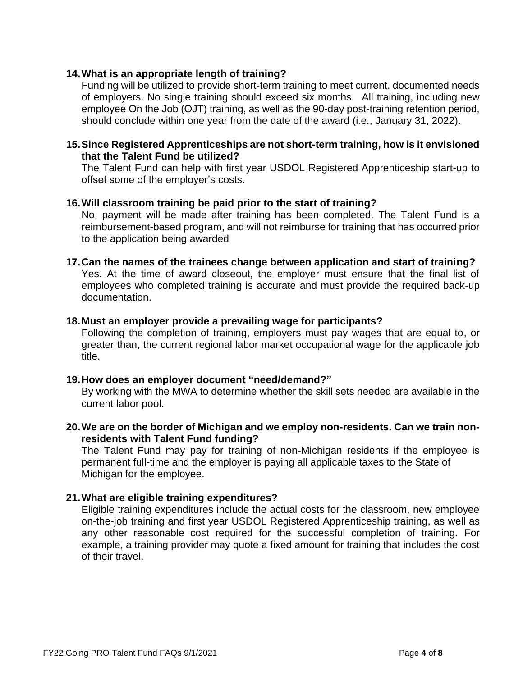## **14.What is an appropriate length of training?**

Funding will be utilized to provide short-term training to meet current, documented needs of employers. No single training should exceed six months. All training, including new employee On the Job (OJT) training, as well as the 90-day post-training retention period, should conclude within one year from the date of the award (i.e., January 31, 2022).

### **15.Since Registered Apprenticeships are not short-term training, how is it envisioned that the Talent Fund be utilized?**

The Talent Fund can help with first year USDOL Registered Apprenticeship start-up to offset some of the employer's costs.

### **16.Will classroom training be paid prior to the start of training?**

No, payment will be made after training has been completed. The Talent Fund is a reimbursement-based program, and will not reimburse for training that has occurred prior to the application being awarded

### **17.Can the names of the trainees change between application and start of training?**

Yes. At the time of award closeout, the employer must ensure that the final list of employees who completed training is accurate and must provide the required back-up documentation.

#### **18.Must an employer provide a prevailing wage for participants?**

Following the completion of training, employers must pay wages that are equal to, or greater than, the current regional labor market occupational wage for the applicable job title.

#### **19.How does an employer document "need/demand?"**

By working with the MWA to determine whether the skill sets needed are available in the current labor pool.

### **20.We are on the border of Michigan and we employ non-residents. Can we train nonresidents with Talent Fund funding?**

The Talent Fund may pay for training of non-Michigan residents if the employee is permanent full-time and the employer is paying all applicable taxes to the State of Michigan for the employee.

## **21.What are eligible training expenditures?**

Eligible training expenditures include the actual costs for the classroom, new employee on-the-job training and first year USDOL Registered Apprenticeship training, as well as any other reasonable cost required for the successful completion of training. For example, a training provider may quote a fixed amount for training that includes the cost of their travel.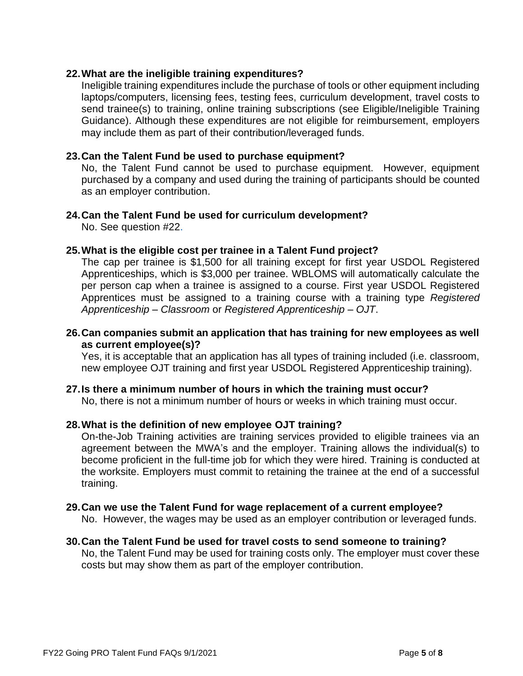## **22.What are the ineligible training expenditures?**

Ineligible training expenditures include the purchase of tools or other equipment including laptops/computers, licensing fees, testing fees, curriculum development, travel costs to send trainee(s) to training, online training subscriptions (see Eligible/Ineligible Training Guidance). Although these expenditures are not eligible for reimbursement, employers may include them as part of their contribution/leveraged funds.

## **23.Can the Talent Fund be used to purchase equipment?**

No, the Talent Fund cannot be used to purchase equipment. However, equipment purchased by a company and used during the training of participants should be counted as an employer contribution.

## **24.Can the Talent Fund be used for curriculum development?**

No. See question #22.

### **25.What is the eligible cost per trainee in a Talent Fund project?**

The cap per trainee is \$1,500 for all training except for first year USDOL Registered Apprenticeships, which is \$3,000 per trainee. WBLOMS will automatically calculate the per person cap when a trainee is assigned to a course. First year USDOL Registered Apprentices must be assigned to a training course with a training type *Registered Apprenticeship – Classroom* or *Registered Apprenticeship – OJT*.

### **26.Can companies submit an application that has training for new employees as well as current employee(s)?**

Yes, it is acceptable that an application has all types of training included (i.e. classroom, new employee OJT training and first year USDOL Registered Apprenticeship training).

## **27.Is there a minimum number of hours in which the training must occur?**

No, there is not a minimum number of hours or weeks in which training must occur.

#### **28.What is the definition of new employee OJT training?**

On-the-Job Training activities are training services provided to eligible trainees via an agreement between the MWA's and the employer. Training allows the individual(s) to become proficient in the full-time job for which they were hired. Training is conducted at the worksite. Employers must commit to retaining the trainee at the end of a successful training.

#### **29.Can we use the Talent Fund for wage replacement of a current employee?**

No. However, the wages may be used as an employer contribution or leveraged funds.

## **30.Can the Talent Fund be used for travel costs to send someone to training?**

No, the Talent Fund may be used for training costs only. The employer must cover these costs but may show them as part of the employer contribution.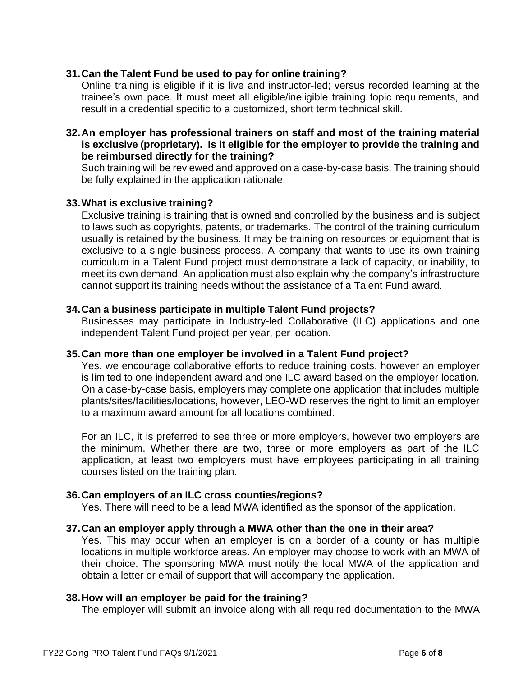## **31.Can the Talent Fund be used to pay for online training?**

Online training is eligible if it is live and instructor-led; versus recorded learning at the trainee's own pace. It must meet all eligible/ineligible training topic requirements, and result in a credential specific to a customized, short term technical skill.

### **32.An employer has professional trainers on staff and most of the training material is exclusive (proprietary). Is it eligible for the employer to provide the training and be reimbursed directly for the training?**

Such training will be reviewed and approved on a case-by-case basis. The training should be fully explained in the application rationale.

## **33.What is exclusive training?**

Exclusive training is training that is owned and controlled by the business and is subject to laws such as copyrights, patents, or trademarks. The control of the training curriculum usually is retained by the business. It may be training on resources or equipment that is exclusive to a single business process. A company that wants to use its own training curriculum in a Talent Fund project must demonstrate a lack of capacity, or inability, to meet its own demand. An application must also explain why the company's infrastructure cannot support its training needs without the assistance of a Talent Fund award.

## **34.Can a business participate in multiple Talent Fund projects?**

Businesses may participate in Industry-led Collaborative (ILC) applications and one independent Talent Fund project per year, per location.

## **35.Can more than one employer be involved in a Talent Fund project?**

Yes, we encourage collaborative efforts to reduce training costs, however an employer is limited to one independent award and one ILC award based on the employer location. On a case-by-case basis, employers may complete one application that includes multiple plants/sites/facilities/locations, however, LEO-WD reserves the right to limit an employer to a maximum award amount for all locations combined.

For an ILC, it is preferred to see three or more employers, however two employers are the minimum. Whether there are two, three or more employers as part of the ILC application, at least two employers must have employees participating in all training courses listed on the training plan.

## **36.Can employers of an ILC cross counties/regions?**

Yes. There will need to be a lead MWA identified as the sponsor of the application.

## **37.Can an employer apply through a MWA other than the one in their area?**

Yes. This may occur when an employer is on a border of a county or has multiple locations in multiple workforce areas. An employer may choose to work with an MWA of their choice. The sponsoring MWA must notify the local MWA of the application and obtain a letter or email of support that will accompany the application.

## **38.How will an employer be paid for the training?**

The employer will submit an invoice along with all required documentation to the MWA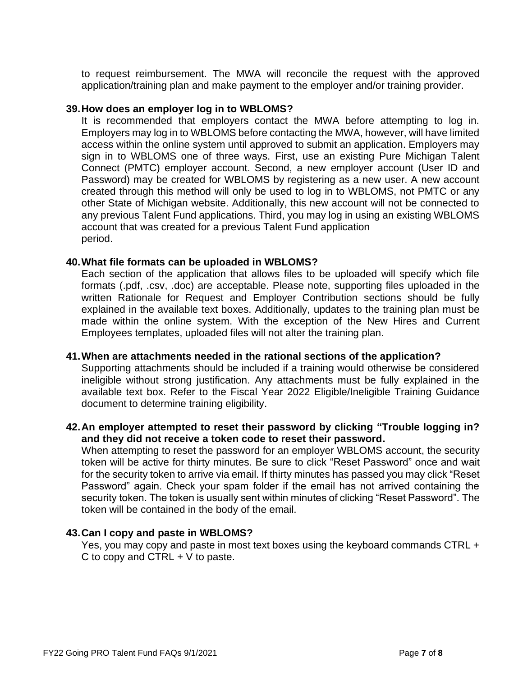to request reimbursement. The MWA will reconcile the request with the approved application/training plan and make payment to the employer and/or training provider.

### **39.How does an employer log in to WBLOMS?**

It is recommended that employers contact the MWA before attempting to log in. Employers may log in to WBLOMS before contacting the MWA, however, will have limited access within the online system until approved to submit an application. Employers may sign in to WBLOMS one of three ways. First, use an existing Pure Michigan Talent Connect (PMTC) employer account. Second, a new employer account (User ID and Password) may be created for WBLOMS by registering as a new user. A new account created through this method will only be used to log in to WBLOMS, not PMTC or any other State of Michigan website. Additionally, this new account will not be connected to any previous Talent Fund applications. Third, you may log in using an existing WBLOMS account that was created for a previous Talent Fund application period.

### **40.What file formats can be uploaded in WBLOMS?**

Each section of the application that allows files to be uploaded will specify which file formats (.pdf, .csv, .doc) are acceptable. Please note, supporting files uploaded in the written Rationale for Request and Employer Contribution sections should be fully explained in the available text boxes. Additionally, updates to the training plan must be made within the online system. With the exception of the New Hires and Current Employees templates, uploaded files will not alter the training plan.

#### **41.When are attachments needed in the rational sections of the application?**

Supporting attachments should be included if a training would otherwise be considered ineligible without strong justification. Any attachments must be fully explained in the available text box. Refer to the Fiscal Year 2022 Eligible/Ineligible Training Guidance document to determine training eligibility.

## **42.An employer attempted to reset their password by clicking "Trouble logging in? and they did not receive a token code to reset their password.**

When attempting to reset the password for an employer WBLOMS account, the security token will be active for thirty minutes. Be sure to click "Reset Password" once and wait for the security token to arrive via email. If thirty minutes has passed you may click "Reset Password" again. Check your spam folder if the email has not arrived containing the security token. The token is usually sent within minutes of clicking "Reset Password". The token will be contained in the body of the email.

#### **43.Can I copy and paste in WBLOMS?**

Yes, you may copy and paste in most text boxes using the keyboard commands CTRL + C to copy and CTRL + V to paste.